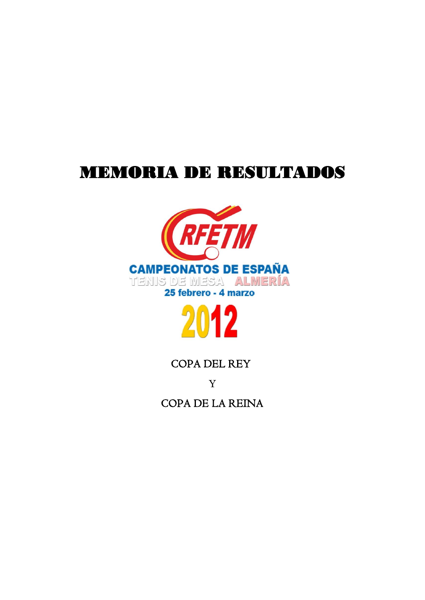# MEMORIA DE RESULTADOS





# COPA DEL REY

Y COPA DE LA REINA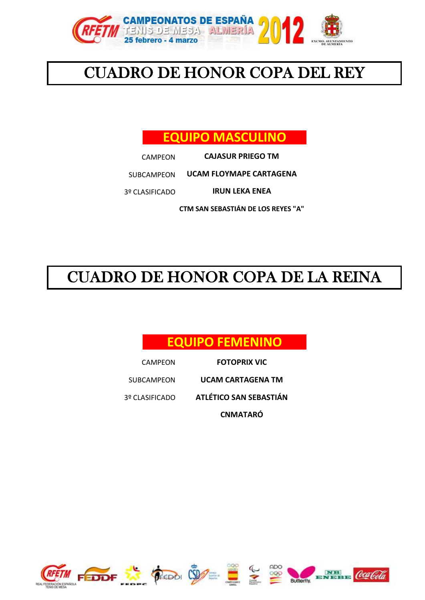

# CUADRO DE HONOR COPA DEL REY

# **EQUIPO MASCULINO**

CAMPEON **CAJASUR PRIEGO TM**

SUBCAMPEON **UCAM FLOYMAPE CARTAGENA**

3º CLASIFICADO **IRUN LEKA ENEA**

**CTM SAN SEBASTIÁN DE LOS REYES "A"**

# CUADRO DE HONOR COPA DE LA REINA

# **EQUIPO FEMENINO**

CAMPEON SUBCAMPEON 3º CLASIFICADO **FOTOPRIX VIC ATLÉTICO SAN SEBASTIÁN CNMATARÓ UCAM CARTAGENA TM**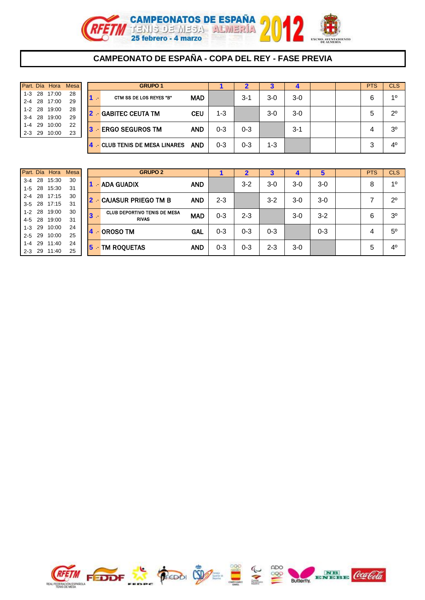

#### **CAMPEONATO DE ESPAÑA - COPA DEL REY - FASE PREVIA**

|         | Part. Día Hora Mesa |    |
|---------|---------------------|----|
|         | 1-3 28 17:00        | 28 |
|         | 2-4 28 17:00        | 29 |
|         | 1-2 28 19:00        | 28 |
|         | 3-4 28 19:00        | 29 |
|         | 1-4 29 10:00        | 22 |
| $2 - 3$ | 29 10:00            | 23 |
|         |                     |    |

| Part. Día Hora |       | <b>Mesa</b> |    |    | <b>GRUPO 1</b>                    |            |         |         | 3     |       |  | <b>PTS</b> | <b>CLS</b>     |
|----------------|-------|-------------|----|----|-----------------------------------|------------|---------|---------|-------|-------|--|------------|----------------|
| $1 - 3$ 28     | 17:00 | 28          |    | 47 | CTM SS DE LOS REYES "B"           | <b>MAD</b> |         | $3 - 1$ | $3-0$ | $3-0$ |  | 6          | 10             |
| 2-4 28 17:00   |       | 29          |    |    |                                   |            |         |         |       |       |  |            |                |
| 1-2 28 19:00   |       | 28          |    |    | <b>2 - GABITEC CEUTA TM</b>       | <b>CEU</b> | 1-3     |         | $3-0$ | $3-0$ |  | 5          | $2^{\circ}$    |
| 3-4 28 19:00   |       | 29          |    |    |                                   |            |         |         |       |       |  |            |                |
| 1-4 29         | 10:00 | 22          | 13 |    | - ERGO SEGUROS TM                 | <b>AND</b> | $0 - 3$ | $0 - 3$ |       | $3-1$ |  | 4          | 3 <sup>o</sup> |
| $2 - 3$ 29     | 10:00 | 23          |    |    |                                   |            |         |         |       |       |  |            |                |
|                |       |             |    |    | <b>CLUB TENIS DE MESA LINARES</b> | <b>AND</b> | $0 - 3$ | $0 - 3$ | 1-3   |       |  | 3          | $4^{\circ}$    |

|         |    | Part. Día Hora | Mesa |
|---------|----|----------------|------|
| $3 - 4$ |    | 28 15:30       | 30   |
| $1 - 5$ | 28 | 15:30          | 31   |
| $2 - 4$ | 28 | 17:15          | 30   |
| $3 - 5$ | 28 | 17:15          | 31   |
| $1 - 2$ | 28 | 19:00          | 30   |
| $4 - 5$ | 28 | 19:00          | 31   |
| $1 - 3$ | 29 | 10:00          | 24   |
| $2 - 5$ | 29 | 10:00          | 25   |
| $1 - 4$ | 29 | 11:40          | 24   |
| $2 - 3$ | 29 | 11:40          | 25   |

|            | Part. Día Hora | Mesa |             | <b>GRUPO 2</b>                      |            |         |         |         |       | 5       | <b>PTS</b> | <b>CLS</b>     |
|------------|----------------|------|-------------|-------------------------------------|------------|---------|---------|---------|-------|---------|------------|----------------|
| $3-4$ 28   | 15:30          | 30   |             | - ADA GUADIX                        | <b>AND</b> |         | $3 - 2$ | 3-0     | $3-0$ | $3-0$   | 8          | 10             |
| $1 - 5$ 28 | 15:30          | 31   |             |                                     |            |         |         |         |       |         |            |                |
|            | 2-4 28 17:15   | 30   | <u> 12 </u> | - CAJASUR PRIEGO TM B               | <b>AND</b> | $2 - 3$ |         | $3 - 2$ | $3-0$ | $3-0$   |            | $2^{\circ}$    |
|            | 3-5 28 17:15   | -31  |             |                                     |            |         |         |         |       |         |            |                |
| $1 - 2$ 28 | 19:00          | 30   | 13          | <b>CLUB DEPORTIVO TENIS DE MESA</b> | <b>MAD</b> | 0-3     | $2 - 3$ |         | $3-0$ | $3-2$   | 6          | 3 <sup>0</sup> |
| 4-5 28     | 19:00          | 31   |             | <b>RIVAS</b>                        |            |         |         |         |       |         |            |                |
| $1 - 3$ 29 | 10:00          | 24   |             |                                     | GAL        | 0-3     | $0 - 3$ | $0 - 3$ |       | $0 - 3$ | 4          | $5^{\circ}$    |
| $2 - 5$ 29 | 10:00          | 25   |             | <b>OROSO TM</b>                     |            |         |         |         |       |         |            |                |
| $1 - 4$ 29 | 11:40          | 24   |             | - TM ROQUETAS                       | <b>AND</b> | $0 - 3$ | $0 - 3$ | $2 - 3$ | $3-0$ |         | 5          | 4 <sup>0</sup> |
|            | 2-3 29 11:40   | 25   | 15          |                                     |            |         |         |         |       |         |            |                |

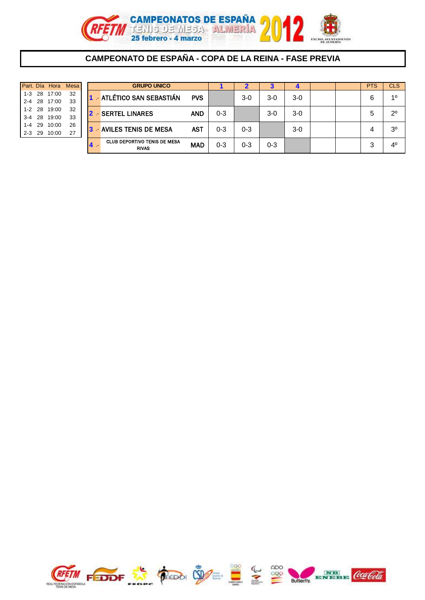

#### **CAMPEONATO DE ESPAÑA - COPA DE LA REINA - FASE PREVIA**

|  | Part. Día Hora Mesa |    |
|--|---------------------|----|
|  | 1-3 28 17:00        | 32 |
|  | 2-4 28 17:00        | 33 |
|  | 1-2 28 19:00        | 32 |
|  | 3-4 28 19:00        | 33 |
|  | 1-4 29 10:00        | 26 |
|  | 2-3 29 10:00        | 27 |
|  |                     |    |

| Part. Día     | Hora  | <b>Mesa</b> |     | <b>GRUPO UNICO</b>                                  |            |         |         | ə       |       |  | <b>PTS</b> | CLS <sup></sup> |
|---------------|-------|-------------|-----|-----------------------------------------------------|------------|---------|---------|---------|-------|--|------------|-----------------|
| $1 - 3$ 28    | 17:00 | 32          |     | <b>ATLÉTICO SAN SEBASTIÁN</b>                       | <b>PVS</b> |         | $3-0$   | $3-0$   | 3-0   |  | 6          | 10              |
| $2 - 4$ 28    | 17:00 | 33          |     |                                                     |            |         |         |         |       |  |            |                 |
| $1 - 2$ 28    | 19:00 | 32          |     | - SERTEL LINARES                                    | <b>AND</b> | $0 - 3$ |         | $3-0$   | 3-0   |  | 5          | $2^{\circ}$     |
| $3-4$ 28      | 19:00 | 33          |     |                                                     |            |         |         |         |       |  |            |                 |
| 29<br>1-4     | 10:00 | 26          | 131 | - AVILES TENIS DE MESA                              | <b>AST</b> | $0 - 3$ | 0-3     |         | $3-0$ |  |            | 3º              |
| $2 - 3$<br>29 | 10:00 | 27          |     |                                                     |            |         |         |         |       |  |            |                 |
|               |       |             |     | <b>CLUB DEPORTIVO TENIS DE MESA</b><br><b>RIVAS</b> | <b>MAD</b> | $0 - 3$ | $0 - 3$ | $0 - 3$ |       |  | ◠<br>C,    | $4^{\circ}$     |

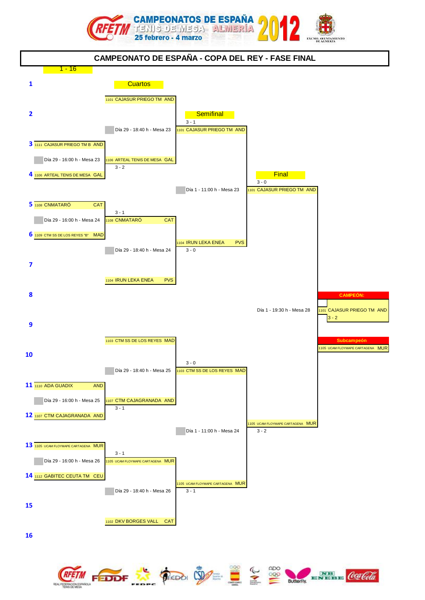





(oca t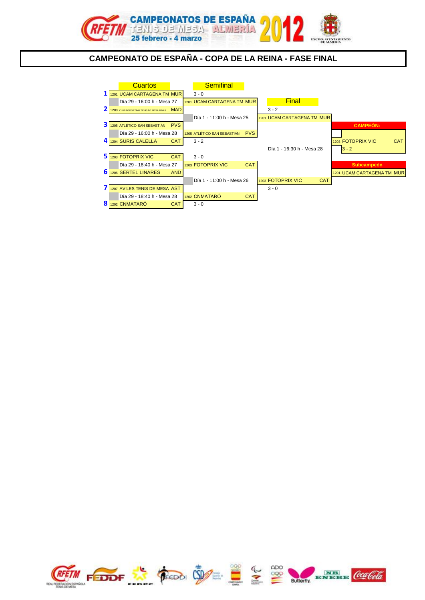

#### **CAMPEONATO DE ESPAÑA - COPA DE LA REINA - FASE FINAL**



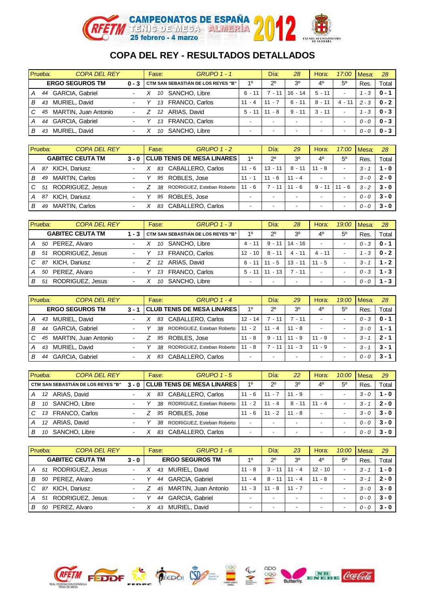

|   | Prueba: | <b>COPA DEL REY</b>    |                          | Fase: |    | <b>GRUPO 1 - 1</b>                 |          | Día:                     | 28                       | Hora:                    | 17:00                    | Mesa:   | 28      |
|---|---------|------------------------|--------------------------|-------|----|------------------------------------|----------|--------------------------|--------------------------|--------------------------|--------------------------|---------|---------|
|   |         | <b>ERGO SEGUROS TM</b> |                          |       |    | CTM SAN SEBASTIÁN DE LOS REYES "B" | 10       | $2^{\circ}$              | 3 <sup>0</sup>           | 4 <sup>0</sup>           | 5 <sup>0</sup>           | Res.    | Total   |
| А |         | 44 GARCIA, Gabriel     | $\blacksquare$           |       | 10 | SANCHO, Libre                      | 6 - 11   | 7 - 11                   | $16 - 14$                | $5 - 11$                 | $\overline{\phantom{a}}$ | - 3     | $0 - 1$ |
| В | 43      | MURIEL, David          |                          |       | 13 | <b>FRANCO, Carlos</b>              | $11 - 4$ | $11 -$                   | $6 - 11$                 | $8 - 11$                 | 4 - 11                   | $2 - 3$ | $0 - 2$ |
| C | 45      | MARTIN, Juan Antonio   | $\overline{\phantom{a}}$ |       |    | 12 ARIAS, David                    | $5 - 11$ | - 8<br>11                | $9 - 11$                 | $3 - 11$                 | $\overline{\phantom{0}}$ | - 3     | $0 - 3$ |
|   | 44      | <b>GARCIA, Gabriel</b> |                          |       | 13 | <b>FRANCO, Carlos</b>              |          | $\overline{\phantom{a}}$ | $\overline{\phantom{a}}$ | $\overline{\phantom{0}}$ | $\overline{\phantom{0}}$ | $0 - 0$ | $0 - 3$ |
| B | 43      | MURIEL, David          | $\overline{\phantom{0}}$ |       | 10 | SANCHO, Libre                      |          | $\overline{\phantom{0}}$ | $\overline{\phantom{0}}$ | $\overline{\phantom{0}}$ | $\overline{\phantom{0}}$ | $0 - 0$ | $0 - 3$ |

|   | Prueba: | <b>COPA DEL REY</b>     |                          | Fase: | <b>GRUPO 1 - 2</b>               |                          | Día:        | 29                       | Hora:                    | 17:00                    | Mesa:   | 28      |
|---|---------|-------------------------|--------------------------|-------|----------------------------------|--------------------------|-------------|--------------------------|--------------------------|--------------------------|---------|---------|
|   |         | <b>GABITEC CEUTA TM</b> |                          |       | 3 - 0 CLUB TENIS DE MESA LINARES | 10                       | $2^{\circ}$ | 3 <sup>0</sup>           | 4 <sup>0</sup>           | $5^{\circ}$              | Res.    | Total   |
| А | 87      | <b>KICH, Dariusz</b>    | $\blacksquare$           |       | 83 CABALLERO, Carlos             | $11 - 6$                 | $13 - 11$   | $8 - 11$                 | $11 - 8$                 | $\overline{\phantom{0}}$ | $3 - 1$ | $1 - 0$ |
| в | 49      | <b>MARTIN, Carlos</b>   |                          | 95    | ROBLES, Jose                     | $11 - 1$                 | $11 - 6$    | $11 - 4$                 | $\overline{\phantom{a}}$ | $\overline{\phantom{0}}$ | $3 - 0$ | $2 - 0$ |
| C | 51      | RODRIGUEZ, Jesus        | $\overline{\phantom{0}}$ | 38    | RODRIGUEZ, Esteban Roberto       | $11 - 6$                 | $7 - 11$    | $11 - 6$                 | $9 - 11$                 | $11 - 6$                 | $3 - 2$ | $3 - 0$ |
| А | 87      | KICH, Dariusz           | $\overline{\phantom{a}}$ | 95    | ROBLES, Jose                     | $\overline{\phantom{a}}$ |             | $\overline{\phantom{a}}$ | $\overline{\phantom{a}}$ | $\overline{\phantom{a}}$ | $0 - 0$ | $3 - 0$ |
| в | 49      | <b>MARTIN, Carlos</b>   | $\blacksquare$           | 83    | CABALLERO, Carlos                |                          |             | $\overline{\phantom{a}}$ | $\overline{\phantom{a}}$ | $\overline{\phantom{0}}$ | 0 - 0   | $3 - 0$ |

| Prueba: |    | <b>COPA DEL REY</b>     |                          | Fase: | $GRUPO$ 1 - 3                            |                          | Día:                     | 28                       | Hora:                    |                          | 19:00 Mesa: | 28      |
|---------|----|-------------------------|--------------------------|-------|------------------------------------------|--------------------------|--------------------------|--------------------------|--------------------------|--------------------------|-------------|---------|
|         |    | <b>GABITEC CEUTA TM</b> |                          |       | 1 - 3 CTM SAN SEBASTIÁN DE LOS REYES "B" | 10                       | $2^{\circ}$              | 3 <sup>0</sup>           | 4 <sup>0</sup>           | $5^{\circ}$              | Res.        | Total   |
| A       |    | 50 PEREZ, Alvaro        | ٠                        |       | 10 SANCHO, Libre                         | $4 - 11$                 |                          | $9 - 11$   14 - 16       | $\overline{\phantom{a}}$ | $\overline{\phantom{a}}$ | $0 - 3$     | $0 - 1$ |
| в       |    | 51 RODRIGUEZ, Jesus     | $\overline{\phantom{a}}$ |       | 13 FRANCO, Carlos                        | $12 - 10$                | $8 - 11$                 | $4 - 11$                 | $4 - 11$                 | $\blacksquare$           | - 3         | $0 - 2$ |
| C       | 87 | KICH, Dariusz           | $\overline{\phantom{0}}$ |       | 12 ARIAS, David                          | $6 - 11$                 | $11 - 5$                 | $13 - 11$                | $11 - 5$                 | $\blacksquare$           | $3 - 1$     | $1 - 2$ |
| A       |    | 50 PEREZ, Alvaro        | $\overline{\phantom{a}}$ |       | 13 FRANCO, Carlos                        | $5 - 11$                 | $11 - 13$                | 7 - 11                   | $\overline{\phantom{a}}$ | $\overline{\phantom{a}}$ | $0 - 3$     | $1 - 3$ |
| в       | 51 | RODRIGUEZ, Jesus        |                          |       | SANCHO, Libre<br>10                      | $\overline{\phantom{a}}$ | $\overline{\phantom{a}}$ | $\overline{\phantom{a}}$ | $\overline{\phantom{a}}$ | $\blacksquare$           | $0 - 0$     | $1 - 3$ |

| Prueba: |    | <b>COPA DEL REY</b>    |                          | Fase: | <b>GRUPO 1 - 4</b>                |           | Día:                     | 29                       | Hora:                    | 19:00                    | Mesa:   | 28      |
|---------|----|------------------------|--------------------------|-------|-----------------------------------|-----------|--------------------------|--------------------------|--------------------------|--------------------------|---------|---------|
|         |    | <b>ERGO SEGUROS TM</b> | $3 - 1$                  |       | <b>CLUB TENIS DE MESA LINARES</b> | 10        | $2^{\circ}$              | 30                       | 40                       | $5^{\circ}$              | Res     | Total   |
| А       | 43 | MURIEL, David          | $\blacksquare$           | 83    | CABALLERO, Carlos                 | $12 - 14$ | $7 - 11$                 | $7 - 11$                 | -                        | $\overline{\phantom{0}}$ | $0 - 3$ | $0 - 1$ |
| в       | 44 | <b>GARCIA, Gabriel</b> |                          | 38    | RODRIGUEZ, Esteban Roberto        | $11 - 2$  | $11 - 4$                 | $11 - 8$                 | $\overline{\phantom{0}}$ | $\overline{\phantom{a}}$ | $3 - 0$ | 1 - 1   |
| C       | 45 | MARTIN, Juan Antonio   | $\overline{\phantom{a}}$ |       | 95 ROBLES, Jose                   | 11 - 8    | $9 - 11$                 | $11 - 9$                 | $11 - 9$                 | $\overline{\phantom{a}}$ | $3 -$   | $2 - 1$ |
| А       | 43 | MURIEL, David          | $\overline{\phantom{a}}$ | 38.   | RODRIGUEZ, Esteban Roberto        | $11 - 8$  | $7 - 11$                 | $11 - 3$                 | $11 - 9$                 | $\overline{\phantom{a}}$ | $3 -$   | $3 - 1$ |
| в       | 44 | <b>GARCIA, Gabriel</b> | $\blacksquare$           | 83    | CABALLERO, Carlos                 |           | $\overline{\phantom{0}}$ | $\overline{\phantom{0}}$ | $\overline{\phantom{0}}$ | $\overline{\phantom{0}}$ | $0 - 0$ | -3 - 1  |

| Prueba: |                  | <b>COPA DEL REY</b>                |                          | Fase: | <b>GRUPO 1 - 5</b>               |                          | Día:        | 22                       | Hora:                    |                          | 10:00 Mesa: | 29      |
|---------|------------------|------------------------------------|--------------------------|-------|----------------------------------|--------------------------|-------------|--------------------------|--------------------------|--------------------------|-------------|---------|
|         |                  | CTM SAN SEBASTIÁN DE LOS REYES "B" |                          |       | 3 - 0 CLUB TENIS DE MESA LINARES | 10                       | $2^{\circ}$ | 3 <sup>0</sup>           | 40                       | 5 <sup>0</sup>           | Res         | Total   |
| А       | 12 <sup>12</sup> | ARIAS, David                       | $\blacksquare$           | 83    | CABALLERO, Carlos                | $11 - 6$                 | $11 - 7$    | $11 - 9$                 | $\overline{\phantom{a}}$ | $\overline{\phantom{0}}$ | $3 - 0$     | $1 - 0$ |
| В       | 10               | SANCHO, Libre                      | $\blacksquare$           | 38    | RODRIGUEZ, Esteban Roberto       | $11 - 2$                 | 11<br>$-4$  | $8 - 11$                 | $11 - 4$                 | $\overline{\phantom{a}}$ | $3 - 1$     | $2 - 0$ |
| C       | 13               | FRANCO, Carlos                     | $\overline{\phantom{a}}$ |       | 95 ROBLES, Jose                  | $11 - 6$                 | $11 - 2$    | $11 - 8$                 | $\overline{\phantom{a}}$ | $\overline{\phantom{0}}$ | $3 - 0$     | $3 - 0$ |
| А       | 12 <sup>12</sup> | ARIAS, David                       | $\overline{\phantom{0}}$ | 38.   | RODRIGUEZ, Esteban Roberto       | $\overline{\phantom{0}}$ |             | $\overline{\phantom{a}}$ | $\overline{\phantom{a}}$ | $\overline{\phantom{0}}$ | $0 - 0$     | $3 - 0$ |
| В       | 10               | SANCHO, Libre                      | ۰.                       | 83    | CABALLERO, Carlos                |                          |             | $\overline{\phantom{a}}$ | $\overline{\phantom{a}}$ | $\overline{\phantom{0}}$ | 0 - 0       | $3 - 0$ |

| Prueba: |    | <b>COPA DEL REY</b>     |                          | Fase: |                              | $GRUPO$ 1 - 6 |          | Día:        | 23                       | Hora:                    | 10:00 Mesa:              |         | 29      |
|---------|----|-------------------------|--------------------------|-------|------------------------------|---------------|----------|-------------|--------------------------|--------------------------|--------------------------|---------|---------|
|         |    | <b>GABITEC CEUTA TM</b> | $3 - 0$                  |       | <b>ERGO SEGUROS TM</b>       |               | 10       | $2^{\circ}$ | 3 <sup>o</sup>           | 4 <sup>0</sup>           | $5^{\circ}$              | Res.    | Total   |
| A       |    | 51 RODRIGUEZ, Jesus     | $\overline{\phantom{a}}$ |       | MURIEL, David<br>43          |               | $11 - 8$ | $3 - 11$    | $11 - 4$                 | $12 - 10$                | $\blacksquare$           | $3 - 1$ | $1 - 0$ |
| В       |    | 50 PEREZ, Alvaro        | $\blacksquare$           |       | <b>GARCIA, Gabriel</b><br>44 |               | $11 - 4$ | $8 - 11$    | $11 - 4$                 | $11 - 8$                 | $\blacksquare$           | $3 - 1$ | $2 - 0$ |
| C       | 87 | KICH, Dariusz           | ٠                        |       | MARTIN, Juan Antonio<br>45   |               | $11 - 3$ | - 8<br>11   | $11 - 7$                 | $\overline{\phantom{a}}$ | $\overline{\phantom{a}}$ | $3 - 0$ | $3 - 0$ |
| A       | 51 | RODRIGUEZ, Jesus        | $\blacksquare$           |       | <b>GARCIA, Gabriel</b><br>44 |               | -        |             | $\overline{\phantom{a}}$ | $\overline{\phantom{a}}$ | $\overline{\phantom{0}}$ | $0 - 0$ | $3 - 0$ |
| В       | 50 | PEREZ, Alvaro           | ۰.                       |       | MURIEL, David<br>43          |               |          |             | $\overline{\phantom{0}}$ | $\overline{\phantom{a}}$ | $\overline{\phantom{0}}$ | 0 - 0   | $3 - 0$ |

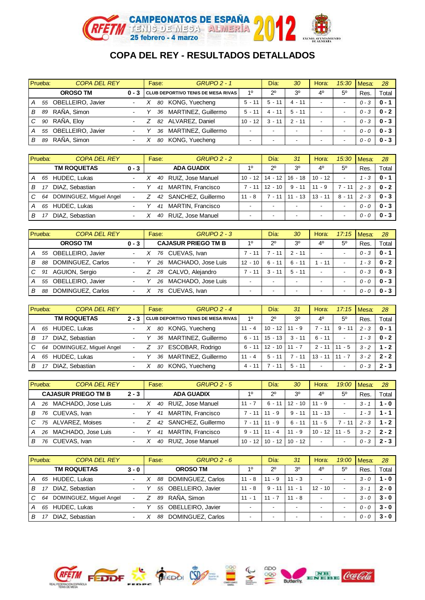

|   | Prueba: | <b>COPA DEL REY</b>  |                          | Fase: |                           | <b>GRUPO 2 - 1</b>                       |                          | Día:        | 30                       | Hora:                    | 15:30                    | Mesa:   | 28        |
|---|---------|----------------------|--------------------------|-------|---------------------------|------------------------------------------|--------------------------|-------------|--------------------------|--------------------------|--------------------------|---------|-----------|
|   |         | <b>OROSO TM</b>      |                          |       |                           | 0 - 3 CLUB DEPORTIVO TENIS DE MESA RIVAS | 10                       | $2^{\circ}$ | 30                       | 40                       | $5^{\circ}$              | Res     | Total     |
| A |         | 55 OBELLEIRO, Javier | $\blacksquare$           |       | 80 KONG, Yuecheng         |                                          | $5 - 11$                 | $5 - 11$    | $4 - 11$                 | $\overline{\phantom{a}}$ | $\overline{\phantom{0}}$ | $0 - 3$ | $0 - 1$   |
| В | 89      | RAÑA, Simon          |                          |       | MARTINEZ, Guillermo<br>36 |                                          | $5 - 11$                 | 4 - 11      | $5 - 11$                 | -                        | -                        | $0 - 3$ | $0 - 2$   |
| C |         | 90 RAÑA, Eloy        | ۰                        |       | 82 ALVAREZ, Daniel        |                                          | $10 - 12$                | $3 - 11$    | $2 - 11$                 | $\overline{\phantom{a}}$ | $\overline{\phantom{a}}$ | $0 - 3$ | $0 - 3$ 1 |
|   |         | 55 OBELLEIRO, Javier | $\overline{\phantom{a}}$ |       | MARTINEZ, Guillermo<br>36 |                                          |                          |             | $\overline{\phantom{0}}$ | -                        | -                        | $0 - 0$ | $0 - 3$ 1 |
| В | 89      | RAÑA, Simon          | $\overline{\phantom{a}}$ |       | KONG, Yuecheng<br>80      |                                          | $\overline{\phantom{a}}$ |             | $\overline{\phantom{0}}$ | $\overline{\phantom{a}}$ | -                        | $0 - 0$ | $0 - 3$   |

|                | Prueba: | <b>COPA DEL REY</b>     |                          | Fase: | <b>GRUPO 2 - 2</b>       |           | Día:        | 31                       | Hora:                    | 15:30                    | <b>I</b> Mesa: | 28      |
|----------------|---------|-------------------------|--------------------------|-------|--------------------------|-----------|-------------|--------------------------|--------------------------|--------------------------|----------------|---------|
|                |         | <b>TM ROQUETAS</b>      | $0 - 3$                  |       | <b>ADA GUADIX</b>        | 10        | $2^{\circ}$ | 3 <sup>0</sup>           | 4 <sup>0</sup>           | $5^{\circ}$              | Res.           | Total   |
| l A            | 65      | <b>HUDEC, Lukas</b>     |                          | 40    | RUIZ, Jose Manuel        | $10 - 12$ | 14 - 12     | 16 - 18                  | $10 - 12$                | $\overline{\phantom{0}}$ | 1 - 3          | 0 - 1   |
| B              | 17      | DIAZ. Sebastian         | $\overline{\phantom{0}}$ | 41    | MARTIN, Francisco        | $7 - 11$  | $12 - 10$   | $9 - 11$                 | $11 - 9$                 | $7 - 11$                 | $2 - 3$        | $0 - 2$ |
| $\overline{C}$ | 64      | DOMINGUEZ, Miquel Angel |                          | 42    | SANCHEZ, Guillermo       | $11 - 8$  | 7 - 11      | $11 - 13$                | $13 - 11$                | $8 - 11$                 | $2 - 3$        | $0 - 3$ |
| l A            | 65      | HUDEC, Lukas            | $\blacksquare$           | 41    | <b>MARTIN, Francisco</b> |           |             | $\overline{\phantom{a}}$ | $\overline{\phantom{a}}$ |                          | $0 - 0$        | $0 - 3$ |
| B              |         | DIAZ. Sebastian         | $\blacksquare$           | 40    | RUIZ, Jose Manuel        |           |             | $\overline{\phantom{0}}$ | $\,$                     | $\overline{\phantom{0}}$ | $0 - 0$        | $0 - 3$ |

|                | Prueba: | <b>COPA DEL REY</b>  |                | Fase: | $GRUPO 2 - 3$              |           | Día:                     | 30                       | Hora:                    | 17:15                    | Mesa:   | 28        |
|----------------|---------|----------------------|----------------|-------|----------------------------|-----------|--------------------------|--------------------------|--------------------------|--------------------------|---------|-----------|
|                |         | <b>OROSO TM</b>      | $0 - 3$        |       | <b>CAJASUR PRIEGO TM B</b> | 10        | $2^{\circ}$              | 3 <sup>o</sup>           | 40                       | $5^{\circ}$              | Res.    | Total     |
| l A            |         | 55 OBELLEIRO, Javier | $\blacksquare$ |       | 76 CUEVAS, Ivan            | $7 - 11$  | 7 - 11                   | $2 - 11$                 | $\overline{\phantom{a}}$ | $\blacksquare$           | $0 - 3$ | $0 - 1$   |
| В              | 88      | DOMINGUEZ, Carlos    |                | 26    | MACHADO, Jose Luis         | $12 - 10$ | $6 - 11$                 | $6 - 11$                 | $-11$                    | $\overline{\phantom{a}}$ | 1 - 3   | $0 - 2$   |
| $\overline{C}$ | 91      | AGUION, Sergio       | $\blacksquare$ |       | 28 CALVO, Alejandro        | ' - 11    | $3 - 11$                 | $5 - 11$                 | $\overline{\phantom{a}}$ | $\overline{\phantom{0}}$ | $0 - 3$ | $0 - 3$ 1 |
| ΙA             |         | 55 OBELLEIRO, Javier | $\blacksquare$ | 26    | MACHADO, Jose Luis         |           |                          | $\overline{\phantom{0}}$ | $\overline{\phantom{a}}$ | -                        | $0 - 0$ | $0 - 3$ 1 |
| В              | 88      | DOMINGUEZ, Carlos    |                | 76    | CUEVAS, Ivan               |           | $\overline{\phantom{0}}$ | $\overline{\phantom{0}}$ | $\overline{\phantom{0}}$ |                          | $0 - 0$ | $0 - 3$   |

|   | Prueba: | <b>COPA DEL REY</b>        |                | Fase: | $GRUPO 2 - 4$                            |          | Día:        | 31             | Hora:                    | 17:15                    | Mesa:   | 28        |
|---|---------|----------------------------|----------------|-------|------------------------------------------|----------|-------------|----------------|--------------------------|--------------------------|---------|-----------|
|   |         | <b>TM ROQUETAS</b>         |                |       | 2 - 3 CLUB DEPORTIVO TENIS DE MESA RIVAS | 10       | $2^{\circ}$ | 3 <sup>o</sup> | 40                       | $5^{\circ}$              | Res     | Total     |
| А |         | 65 HUDEC, Lukas            | ٠              | 80    | KONG, Yuecheng                           | $11 - 4$ | $10 - 12$   | $11 - 9$       | $-11$                    | $9 - 11$                 | $2 - 3$ | $0 - 1$   |
| в |         | DIAZ. Sebastian            | $\blacksquare$ | 36    | MARTINEZ, Guillermo                      | $6 - 11$ | $15 - 13$   | $3 - 11$       | $6 - 11$                 | $\overline{\phantom{a}}$ | 1 - 3   | $0 - 2$   |
| C |         | 64 DOMINGUEZ, Miguel Angel | Ξ.             | 37    | ESCOBAR, Rodrigo                         | $6 - 11$ | $12 - 10$   | $11 - 7$       | $2 - 11$                 | $11 - 5$                 | $3 - 2$ | $1 - 2$   |
| А | 65      | <b>HUDEC, Lukas</b>        |                | 36    | MARTINEZ, Guillermo                      | $11 - 4$ | $5 - 11$    | $-11$          | $13 - 11$                | $11 - 7$                 | $3 - 2$ | $2 - 2$ 1 |
| в |         | DIAZ. Sebastian            | $\blacksquare$ | 80    | KONG, Yuecheng                           | 4 - 11   | 7 - 11      | $5 - 11$       | $\overline{\phantom{a}}$ | $\overline{\phantom{0}}$ | 0 - 3   | $2 - 3$ 1 |

|   | Prueba: | <b>COPA DEL REY</b>        |                          | Fase: | $GRUPO 2 - 5$            |           | Día:        | 30             | Hora:                    | 19:00                    | Mesa:   | 28      |
|---|---------|----------------------------|--------------------------|-------|--------------------------|-----------|-------------|----------------|--------------------------|--------------------------|---------|---------|
|   |         | <b>CAJASUR PRIEGO TM B</b> | $2 - 3$                  |       | <b>ADA GUADIX</b>        | 10        | $2^{\circ}$ | 3 <sup>0</sup> | 4 <sup>0</sup>           | $5^{\circ}$              | Res.    | Total   |
| A |         | 26 MACHADO, Jose Luis      | $\overline{\phantom{a}}$ | 40    | RUIZ, Jose Manuel        | $11 - 7$  | $6 - 11$    | $12 - 10$      | $11 - 9$                 | $\overline{\phantom{a}}$ | $3 - 1$ | $1 - 0$ |
| В | 76      | CUEVAS, Ivan               | $\overline{\phantom{a}}$ | 41    | MARTIN, Francisco        | $7 - 11$  | $11 - 9$    | $9 - 11$       | $11 - 13$                | $\overline{\phantom{a}}$ | $1 - 3$ | 1 - 1   |
| C |         | 75 ALVAREZ, Moises         | $\overline{\phantom{a}}$ | 42    | SANCHEZ, Guillermo       | 7 - 11    | $11 - 9$    | $6 - 11$       | $11 - 5$                 | 7 - 11                   | $2 - 3$ | $1 - 2$ |
| A |         | 26 MACHADO, Jose Luis      | $\overline{\phantom{a}}$ | 41    | <b>MARTIN, Francisco</b> | $9 - 11$  | 11<br>$-4$  | $11 - 9$       | $10 - 12$                | $11 - 5$                 | $3 - 2$ | $2 - 2$ |
| В | 76      | CUEVAS, Ivan               | ٠                        | 40    | RUIZ, Jose Manuel        | $10 - 12$ | $10 - 12$   | 10-12          | $\overline{\phantom{a}}$ | $\overline{\phantom{0}}$ | 0 - 3   | $2 - 3$ |

|   | Prueba: | <b>COPA DEL REY</b>     |                          | Fase: | $GRUPO 2 - 6$           |                          | Día:     | 31                       | Hora:                    | 19:00                    | Mesa:   | 28      |
|---|---------|-------------------------|--------------------------|-------|-------------------------|--------------------------|----------|--------------------------|--------------------------|--------------------------|---------|---------|
|   |         | <b>TM ROQUETAS</b>      | $3 - 0$                  |       | <b>OROSO TM</b>         | 10                       | 20       | 3 <sup>0</sup>           | 40                       | $5^{\circ}$              | Res.    | Total   |
| А |         | 65 HUDEC, Lukas         | $\overline{\phantom{a}}$ |       | DOMINGUEZ, Carlos<br>88 | $11 - 8$                 | $11 - 9$ | $11 - 3$                 | $\overline{\phantom{a}}$ | $\overline{\phantom{0}}$ | $3 - 0$ | $1 - 0$ |
| В |         | DIAZ, Sebastian         | $\blacksquare$           |       | OBELLEIRO, Javier<br>55 | $11 - 8$                 | $9 - 11$ | $11 - 1$                 | $12 - 10$                | $\overline{\phantom{a}}$ | $3 - 1$ | $2 - 0$ |
| C | 64      | DOMINGUEZ, Miquel Angel |                          |       | RAÑA, Simon<br>89       | $11 -$                   | $11 - 7$ | $11 - 8$                 | $\overline{\phantom{a}}$ | $\overline{\phantom{a}}$ | $3 - 0$ | $3 - 0$ |
| А |         | 65 HUDEC, Lukas         | $\overline{\phantom{a}}$ |       | OBELLEIRO, Javier<br>55 | $\overline{\phantom{a}}$ |          | $\overline{\phantom{a}}$ | $\overline{\phantom{a}}$ | $\overline{\phantom{a}}$ | $0 - 0$ | $3 - 0$ |
| B |         | DIAZ. Sebastian         | $\overline{\phantom{a}}$ |       | DOMINGUEZ, Carlos<br>88 |                          |          | $\overline{\phantom{0}}$ | -                        | $\overline{\phantom{a}}$ | 0 - 0   | $3 - 0$ |

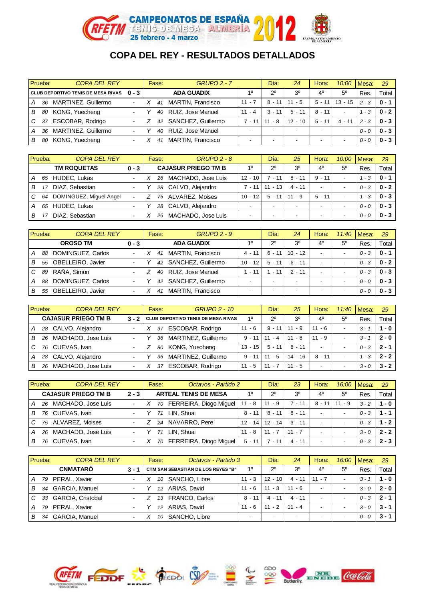

|                | Prueba: | <b>COPA DEL REY</b>                |                          | Fase: | <b>GRUPO 2 - 7</b> |          | Día:        | 24                       | Hora:                    | 10:00                    | Mesa:   | 29        |
|----------------|---------|------------------------------------|--------------------------|-------|--------------------|----------|-------------|--------------------------|--------------------------|--------------------------|---------|-----------|
|                |         | CLUB DEPORTIVO TENIS DE MESA RIVAS | $0 - 3$                  |       | <b>ADA GUADIX</b>  | 10       | $2^{\circ}$ | 3 <sup>o</sup>           | 40                       | $5^{\circ}$              | Res.    | Total     |
| $\overline{A}$ |         | 36 MARTINEZ, Guillermo             | $\blacksquare$           | 41    | MARTIN, Francisco  | $11 - 7$ | $8 - 11$    | $11 - 5$                 | $5 - 11$                 | $13 - 15$                | $2 - 3$ | $0 - 1$   |
| $\overline{B}$ | 80      | KONG, Yuecheng                     | $\blacksquare$           | 40    | RUIZ, Jose Manuel  | $11 - 4$ | $3 - 11$    | $5 - 11$                 | $8 - 11$                 | $\overline{\phantom{a}}$ | - 3     | $0 - 2$ 1 |
| $\overline{C}$ |         | 37 ESCOBAR, Rodrigo                | $\overline{\phantom{0}}$ | 42    | SANCHEZ, Guillermo | $7 - 11$ | $11 - 8$    | $12 - 10$                | $5 - 11$                 | $4 - 11$                 | $2 - 3$ | $0 - 3$ 1 |
| $\overline{A}$ | 36      | MARTINEZ, Guillermo                | $\blacksquare$           | 40    | RUIZ, Jose Manuel  |          |             | $\overline{\phantom{0}}$ | $\overline{\phantom{0}}$ | $\overline{\phantom{0}}$ | $0 - 0$ | $0 - 3$ 1 |
| $\overline{B}$ | 80      | KONG, Yuecheng                     | $\blacksquare$           | 41    | MARTIN, Francisco  |          |             | $\overline{\phantom{0}}$ | $\overline{\phantom{0}}$ | $\overline{\phantom{0}}$ | $0 - 0$ | $0 - 3$ 1 |

|    | Prueba: | <b>COPA DEL REY</b>     |                          | $GRUPO 2 - 8$<br>Fase:     |           | Día:                     | 25                       | Hora:                    | 10:00                    | Mesa:   | 29        |
|----|---------|-------------------------|--------------------------|----------------------------|-----------|--------------------------|--------------------------|--------------------------|--------------------------|---------|-----------|
|    |         | <b>TM ROQUETAS</b>      | $0 - 3$                  | <b>CAJASUR PRIEGO TM B</b> | 10        | $2^{\circ}$              | 3 <sup>o</sup>           | 4 <sup>0</sup>           | $5^{\circ}$              | Res.    | Total     |
| А  |         | 65 HUDEC, Lukas         | $\overline{\phantom{0}}$ | MACHADO, Jose Luis<br>26   | $12 - 10$ | $7 - 11$                 | $8 - 11$                 | $9 - 11$                 | $\overline{\phantom{a}}$ | 1 - 3   | $0 - 1$   |
| B. |         | DIAZ. Sebastian         |                          | CALVO, Alejandro<br>28     | $7 - 11$  | $11 - 13$                | $4 - 11$                 | $\overline{\phantom{a}}$ | $\overline{\phantom{a}}$ | $0 - 3$ | $0 - 2$   |
| C  | 64      | DOMINGUEZ, Miguel Angel |                          | ALVAREZ, Moises<br>75      | $10 - 12$ | $5 - 11$                 | $11 - 9$                 | $5 - 11$                 | $\overline{\phantom{a}}$ | - 3     | $0 - 3$ 1 |
| А  | 65      | HUDEC, Lukas            | $\blacksquare$           | CALVO, Alejandro<br>28     |           |                          | $\overline{\phantom{0}}$ | $\overline{\phantom{a}}$ | $\overline{\phantom{a}}$ | $0 - Q$ | $0 - 3$   |
| В  |         | DIAZ. Sebastian         | $\blacksquare$           | MACHADO, Jose Luis<br>26   |           | $\overline{\phantom{0}}$ | $\overline{\phantom{0}}$ | $\overline{\phantom{0}}$ | $\overline{\phantom{a}}$ | $0 - 0$ | $0 - 3$   |

|   | Prueba: | <b>COPA DEL REY</b>  |                          | Fase: | <b>GRUPO 2 - 9</b>       |                          | Día:        | 24                       | Hora:                    | 11:40                    | Mesa:   | 29        |
|---|---------|----------------------|--------------------------|-------|--------------------------|--------------------------|-------------|--------------------------|--------------------------|--------------------------|---------|-----------|
|   |         | <b>OROSO TM</b>      | $0 - 3$                  |       | <b>ADA GUADIX</b>        | 10                       | $2^{\circ}$ | 3 <sup>0</sup>           | 40                       | $5^{\circ}$              | Res     | Total     |
| А |         | 88 DOMINGUEZ, Carlos | $\blacksquare$           | 41    | MARTIN, Francisco        | $4 - 11$                 | $6 - 11$    | $10 - 12$                | $\overline{\phantom{a}}$ | $\overline{\phantom{0}}$ | $0 - 3$ | $0 - 1$   |
| В | 55      | OBELLEIRO, Javier    |                          | 42    | SANCHEZ, Guillermo       | $10 - 12$                | $5 - 11$    | 6 - 11                   | -                        | $\overline{\phantom{a}}$ | $0 - 3$ | $0 - 2$   |
| C | 89      | RAÑA, Simon          | $\blacksquare$           | 40    | RUIZ, Jose Manuel        | $-11$                    | - 11        | $2 - 11$                 | -                        | $\overline{\phantom{a}}$ | $0 - 3$ | $0 - 3$ 1 |
| А | 88      | DOMINGUEZ, Carlos    | $\blacksquare$           | 42    | SANCHEZ, Guillermo       | $\overline{\phantom{a}}$ |             | $\overline{\phantom{0}}$ | $\overline{\phantom{a}}$ | $\overline{\phantom{a}}$ | $0 - 0$ | $0 - 3$ 1 |
| в | 55      | OBELLEIRO, Javier    | $\overline{\phantom{a}}$ | 41    | <b>MARTIN, Francisco</b> |                          |             | $\,$                     | $\overline{\phantom{0}}$ | $\overline{\phantom{a}}$ | 0 - 0   | $0 - 3$ 1 |

| Prueba: |    | <b>COPA DEL REY</b>        |                          | Fase: | <b>GRUPO 2 - 10</b>                      |                   | Día:        | 25             | Hora:                    | 11:40                    | <b>I</b> Mesa: | 29        |
|---------|----|----------------------------|--------------------------|-------|------------------------------------------|-------------------|-------------|----------------|--------------------------|--------------------------|----------------|-----------|
|         |    | <b>CAJASUR PRIEGO TM B</b> |                          |       | 3 - 2 CLUB DEPORTIVO TENIS DE MESA RIVAS | 10                | $2^{\circ}$ | 3 <sup>0</sup> | 40                       | $5^{\circ}$              | Res            | Total     |
| A       |    | 28 CALVO, Alejandro        | ٠                        | 37    | ESCOBAR, Rodrigo                         | $11 - 6$          | $9 - 11$    | $11 - 9$       | $11 - 6$                 | $\overline{\phantom{0}}$ | $3 - 1$        | $1 - 0$   |
| В       |    | 26 MACHADO, Jose Luis      | $\blacksquare$           | 36    | MARTINEZ, Guillermo                      | $9 - 11$          | 11 - 4      | $11 - 8$       | $11 - 9$                 | $\overline{\phantom{a}}$ | $3 - 1$        | $2 - 0$ 1 |
| C       |    | 76 CUEVAS, Ivan            | $\blacksquare$           |       | 80 KONG, Yuecheng                        | $13 - 15$         | $5 - 11$    | $8 - 11$       | $\overline{\phantom{a}}$ | $\overline{\phantom{0}}$ | $0 - 3$        | $2 - 1$   |
| A       |    | 28 CALVO, Alejandro        | $\overline{\phantom{a}}$ | 36    | MARTINEZ, Guillermo                      | $9 - 11$   11 - 5 |             | 14 - 16        | $8 - 11$                 | $\overline{\phantom{0}}$ | 1 - 3          | $2 - 2$   |
| В       | 26 | MACHADO, Jose Luis         | $\overline{\phantom{0}}$ | 37    | ESCOBAR, Rodrigo                         | $11 - 5$          | $11 - 7$    | $11 - 5$       | $\overline{\phantom{0}}$ | $\overline{\phantom{a}}$ | $3 - 0$        | $3 - 2$   |

|    | Prueba: | <b>COPA DEL REY</b>        |                          | Octavos - Partido 2<br>Fase: |           | Día:        | 23             | Hora:                    | 16:00                    | Mesa:   | 29      |
|----|---------|----------------------------|--------------------------|------------------------------|-----------|-------------|----------------|--------------------------|--------------------------|---------|---------|
|    |         | <b>CAJASUR PRIEGO TM B</b> | $2 - 3$                  | <b>ARTEAL TENIS DE MESA</b>  | 10        | $2^{\circ}$ | 3 <sup>0</sup> | 40                       | 50                       | Res.    | Total   |
| A  |         | 26 MACHADO, Jose Luis      | $\blacksquare$           | FERREIRA, Diogo Miguel<br>70 | $11 - 8$  | $11 - 9$    | 7 - 11         | $8 - 11$                 | $11 - 9$                 | $3 - 2$ | $1 - 0$ |
| B. | 76      | CUEVAS, Ivan               |                          | LIN. Shuai                   | $8 - 11$  | 8 - 11      | 8 - 11         | $\overline{\phantom{a}}$ | $\overline{\phantom{0}}$ | $0 - 3$ | $1 - 1$ |
| C  |         | 75 ALVAREZ, Moises         | $\blacksquare$           | 24 NAVARRO, Pere             | $12 - 14$ | 12 - 14     | $3 - 11$       | $\overline{\phantom{a}}$ | $\overline{\phantom{a}}$ | $0 - 3$ | $1 - 2$ |
| A  |         | 26 MACHADO, Jose Luis      | Ξ.                       | LIN. Shuai                   | $11 - 8$  | $11 - 7$    | $11 - 7$       | $\overline{\phantom{a}}$ | $\overline{\phantom{0}}$ | $3 - 0$ | $2 - 2$ |
| В  | 76      | CUEVAS, Ivan               | $\overline{\phantom{a}}$ | FERREIRA, Diogo Miguel<br>70 | $5 - 11$  | $7 - 11$    | $4 - 11$       | $\overline{\phantom{0}}$ | $\overline{\phantom{0}}$ | $0 - 3$ | $2 - 3$ |

|   | Prueba: | <b>COPA DEL REY</b>   |                          | Fase:           | Octavos - Partido 3                |          | Día:        | 24                       | Hora:                    | 16:00                    | Mesa:   | 29      |
|---|---------|-----------------------|--------------------------|-----------------|------------------------------------|----------|-------------|--------------------------|--------------------------|--------------------------|---------|---------|
|   |         | <b>CNMATARO</b>       | $3 - 1$                  |                 | CTM SAN SEBASTIÁN DE LOS REYES "B" | 10       | $2^{\circ}$ | 3 <sup>0</sup>           | 4 <sup>0</sup>           | $5^{\circ}$              | Res.    | Total   |
| А | 79      | PERAL, Xavier         | ٠                        | 10              | SANCHO, Libre                      | $11 - 3$ | $12 - 10$   | 4 - 11                   | $11 - 7$                 | $\overline{\phantom{0}}$ | $3 -$   | $1 - 0$ |
| в | 34      | <b>GARCIA, Manuel</b> | ٠.                       | 12              | ARIAS, David                       | $11 - 6$ | $11 - 3$    | $11 - 6$                 | $\,$                     | $\overline{\phantom{a}}$ | $3 - 0$ | $2 - 0$ |
|   |         | 33 GARCIA, Cristobal  | $\blacksquare$           | 13              | <b>FRANCO, Carlos</b>              | $8 - 11$ | $4 - 11$    | $4 - 11$                 | $\overline{\phantom{a}}$ | $\overline{\phantom{a}}$ | $0 - 3$ | 2 - 1   |
|   |         | 79 PERAL, Xavier      | $\overline{\phantom{a}}$ | 12 <sup>2</sup> | ARIAS, David                       | $11 - 6$ | $11 - 2$    | $11 - 4$                 | $\,$                     | $\overline{\phantom{a}}$ | $3 - 0$ | $3 - 1$ |
| В | 34      | <b>GARCIA, Manuel</b> | $\overline{\phantom{0}}$ | 10              | SANCHO, Libre                      | -        |             | $\overline{\phantom{0}}$ | $\overline{\phantom{a}}$ | $\overline{\phantom{0}}$ | 0 - 0   | $3 - 1$ |

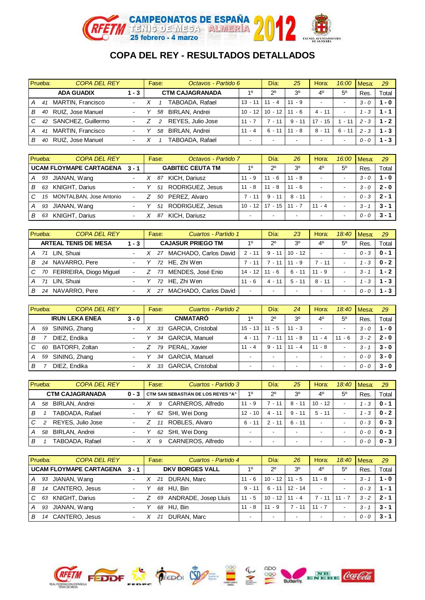

|   | Prueba: | <b>COPA DEL REY</b> |                          | Fase: | Octavos - Partido 6         |           | Día:                     | 25             | Hora:                    | 16:00                    | Mesa:   | 29      |
|---|---------|---------------------|--------------------------|-------|-----------------------------|-----------|--------------------------|----------------|--------------------------|--------------------------|---------|---------|
|   |         | <b>ADA GUADIX</b>   | 1 - 3                    |       | <b>CTM CAJAGRANADA</b>      | 10        | $2^{\circ}$              | 3 <sup>0</sup> | 4 <sup>0</sup>           | 50                       | Res.    | Total   |
|   | 41      | MARTIN, Francisco   | $\overline{\phantom{0}}$ |       | TABOADA, Rafael             | $13 - 11$ | $11 - 4$                 | $11 - 9$       | $\overline{\phantom{a}}$ | $\overline{\phantom{0}}$ | $3 - 0$ | $1 - 0$ |
| в | 40      | RUIZ, Jose Manuel   |                          |       | <b>BIRLAN, Andrei</b><br>58 | $10 - 12$ | $10 - 12$                | $11 - 6$       | $4 - 11$                 | $\overline{\phantom{a}}$ | - 3     | $1 - 1$ |
| C | 42      | SANCHEZ, Guillermo  | $\blacksquare$           |       | REYES, Julio Jose           | $11 - 7$  | 7 - 11                   | 9<br>- 11      | $17 - 15$                | $-11$                    | $2 - 3$ | $1 - 2$ |
| A | 41      | MARTIN, Francisco   | $\overline{\phantom{0}}$ |       | <b>BIRLAN, Andrei</b><br>58 | $11 - 4$  | $6 - 11$                 | $11 - 8$       | $8 - 11$                 | $6 - 11$                 | $2 - 3$ | $1 - 3$ |
| В | 40      | RUIZ, Jose Manuel   |                          |       | TABOADA. Rafael             |           | $\overline{\phantom{a}}$ | $\blacksquare$ | $\overline{\phantom{a}}$ | $\overline{\phantom{a}}$ | 0 - 0   | $1 - 3$ |

| Prueba:        |    | <b>COPA DEL REY</b>         |                          | Fase: | Octavos - Partido 7        |           | Día:        | 26                       | Hora:                    | 16:00                    | Mesa:   | 29      |
|----------------|----|-----------------------------|--------------------------|-------|----------------------------|-----------|-------------|--------------------------|--------------------------|--------------------------|---------|---------|
|                |    | UCAM FLOYMAPE CARTAGENA 3-1 |                          |       | <b>GABITEC CEUTA TM</b>    | 10        | $2^{\circ}$ | 3 <sup>o</sup>           | 40                       | $5^{\circ}$              | Res.    | Total   |
| l A            | 93 | JIANAN, Wang                | $\sim$                   |       | KICH, Dariusz<br>87        | $11 - 9$  | $11 - 6$    | $11 - 8$                 | $\overline{\phantom{0}}$ | $\overline{\phantom{a}}$ | $3 - 0$ | 1 - 0   |
| $\overline{B}$ | 63 | <b>KNIGHT, Darius</b>       | $\blacksquare$           |       | RODRIGUEZ, Jesus<br>51     | $11 - 8$  | $11 - 8$    | $11 - 6$                 | $\overline{\phantom{a}}$ | $\overline{\phantom{a}}$ | $3 - 0$ | $2 - 0$ |
| l C            | 15 | MONTALBAN, Jose Antonio     | $\sim$                   |       | PEREZ, Alvaro<br>50        | $7 - 11$  | $9 - 11$    | $8 - 11$                 | $\overline{\phantom{a}}$ | $\overline{\phantom{a}}$ | $0 - 3$ | 2 - 1   |
| l A            | 93 | JIANAN, Wang                | $\blacksquare$           |       | RODRIGUEZ, Jesus<br>51     | $10 - 12$ | $17 - 15$   | $11 - 7$                 | $11 - 4$                 | $\overline{\phantom{a}}$ | $3 - 7$ | $3 - 1$ |
| l B            | 63 | <b>KNIGHT, Darius</b>       | $\overline{\phantom{0}}$ |       | <b>KICH. Dariusz</b><br>87 |           |             | $\overline{\phantom{0}}$ | $\overline{\phantom{a}}$ | $\overline{\phantom{0}}$ | $0 - 0$ | $3 - 1$ |

|    | Prueba: | <b>COPA DEL REY</b>         |                | Fase: | Cuartos - Partido 1      |                          | Día:                     | 23                       | Hora:                    | 18:40                    | Mesa:   | 29      |
|----|---------|-----------------------------|----------------|-------|--------------------------|--------------------------|--------------------------|--------------------------|--------------------------|--------------------------|---------|---------|
|    |         | <b>ARTEAL TENIS DE MESA</b> | $1 - 3$        |       | <b>CAJASUR PRIEGO TM</b> | 10                       | $2^{\circ}$              | 3 <sup>o</sup>           | 40                       | $5^{\circ}$              | Res.    | Total   |
| A  |         | 71 LIN. Shuai               |                |       | 27 MACHADO, Carlos David | $2 - 11$                 | $9 - 11$                 | $10 - 12$                | $\overline{\phantom{a}}$ | $\overline{\phantom{0}}$ | $0 - 3$ | $0 - 1$ |
| B. |         | 24 NAVARRO, Pere            | $\blacksquare$ |       | 72 HE, Zhi Wen           | $7 - 11$                 | $7 - 11$                 | $11 - 9$                 | 7 - 11                   | $\overline{\phantom{0}}$ | 1 - 3   | $0 - 2$ |
| C  |         | 70 FERREIRA, Diogo Miguel   |                | 73    | MENDES, José Enio        | $14 - 12$                | 11 - 6                   | 6 - 11                   | $11 - 9$                 | $\overline{\phantom{0}}$ | $3 - 1$ | $1 - 2$ |
| A  | 71      | LIN. Shuai                  | $\blacksquare$ |       | 72 HE, Zhi Wen           | $11 - 6$                 | 4 - 11                   | $5 - 11$                 | $8 - 11$                 | $\overline{\phantom{a}}$ | 1 - 3   | 1 - 3 I |
| В  | 24      | NAVARRO, Pere               | ٠              | 27    | MACHADO, Carlos David    | $\overline{\phantom{a}}$ | $\overline{\phantom{0}}$ | $\overline{\phantom{a}}$ | $\overline{\phantom{0}}$ | $\,$                     | $0 - 0$ | $-3$    |

|                | Prueba: | <b>COPA DEL REY</b>    |                          | Fase: | Cuartos - Partido 2         |           | Día:                     | 24                       | Hora:                    | 18:40                    | I Mesa: | 29        |
|----------------|---------|------------------------|--------------------------|-------|-----------------------------|-----------|--------------------------|--------------------------|--------------------------|--------------------------|---------|-----------|
|                |         | <b>IRUN LEKA ENEA</b>  | $3 - 0$                  |       | <b>CNMATARO</b>             | 10        | $2^{\circ}$              | 3 <sup>o</sup>           | 40                       | $5^{\circ}$              | Res.    | Total     |
| l A            | 59      | SINING, Zhang          | $\blacksquare$           | 33    | GARCIA, Cristobal           | $15 - 13$ | $11 - 5$                 | $11 - 3$                 | $\overline{\phantom{0}}$ | $\overline{\phantom{0}}$ | $3 - 0$ | $1 - 0$   |
| В              |         | DIEZ, Endika           | $\sim$                   | 34    | GARCIA, Manuel              | 4 - 11    | ່ - 11                   | - 8<br>11                | $11 - 4$                 | - 6<br>11                | $3 - 2$ | $2 - 0$ 1 |
| $\overline{C}$ | 60      | <b>BATORFI, Zoltan</b> |                          |       | PERAL, Xavier<br>79         | $11 - 4$  | $9 - 11$                 | $11 - 4$                 | $11 - 8$                 | $\overline{\phantom{0}}$ | 3 -     | $3 - 0$ 1 |
| l A            | 59      | SINING, Zhang          | $\sim$                   |       | <b>GARCIA, Manuel</b><br>34 |           |                          | $\overline{\phantom{0}}$ | $\overline{\phantom{a}}$ | $\,$                     | $0 - 0$ | $3 - 0$ 1 |
| В              |         | DIEZ, Endika           | $\overline{\phantom{0}}$ |       | GARCIA, Cristobal<br>33     |           | $\overline{\phantom{0}}$ | $\overline{\phantom{0}}$ | $\overline{\phantom{a}}$ |                          | $0 - 0$ | $3 - 0$   |

|     | Prueba: | <b>COPA DEL REY</b>    |                | Fase: | Cuartos - Partido 3                |           | Día:        | 25                       | Hora:                    | 18:40                    | I Mesa: | 29      |
|-----|---------|------------------------|----------------|-------|------------------------------------|-----------|-------------|--------------------------|--------------------------|--------------------------|---------|---------|
|     |         | <b>CTM CAJAGRANADA</b> |                |       | CTM SAN SEBASTIÁN DE LOS REYES "A" | 10        | $2^{\circ}$ | 3 <sup>0</sup>           | 4 <sup>0</sup>           | $5^{\circ}$              | Res.    | Total   |
| l A | 58      | <b>BIRLAN, Andrei</b>  | $\sim$         |       | CARNEROS, Alfredo                  | $11 - 9$  | $7 - 11$    | $8 - 11$                 | $10 - 12$                | $\overline{\phantom{0}}$ | 1 - 3   | $0 - 1$ |
| B   |         | TABOADA, Rafael        | $\blacksquare$ | 62    | SHI, Wei Dong                      | $12 - 10$ | 4 - 11      | $9 - 11$                 | $5 - 11$                 | $\overline{\phantom{0}}$ | - 3     | $0 - 2$ |
| I C | 2       | REYES, Julio Jose      | $\blacksquare$ |       | ROBLES, Alvaro                     | $6 - 11$  | $2 - 11$    | $6 - 11$                 | $\overline{\phantom{a}}$ | $\,$                     | $0 - 3$ | $0 - 3$ |
| ΙA  | 58      | BIRLAN, Andrei         | $\blacksquare$ | 62    | SHI, Wei Dong                      |           |             | $\overline{\phantom{0}}$ | $\overline{\phantom{a}}$ | $\overline{\phantom{0}}$ | $0 - 0$ | $0 - 3$ |
| B   |         | TABOADA, Rafael        | $\sim$         |       | CARNEROS, Alfredo                  |           |             | $\overline{\phantom{0}}$ | $\,$                     | $\overline{\phantom{0}}$ | 0 - 0   | $0 - 3$ |

|                | Prueba: | <b>COPA DEL REY</b>         |                          | Fase: | Cuartos - Partido 4     |          | Día:        | 26                       | Hora:                    | 18:40                    | <b>I</b> Mesa: | 29      |
|----------------|---------|-----------------------------|--------------------------|-------|-------------------------|----------|-------------|--------------------------|--------------------------|--------------------------|----------------|---------|
|                |         | UCAM FLOYMAPE CARTAGENA 3-1 |                          |       | <b>DKV BORGES VALL</b>  | 10       | $2^{\circ}$ | 3 <sup>0</sup>           | 40                       | $5^{\circ}$              | Res.           | Total   |
| l A            | 93      | JIANAN, Wang                | $\overline{\phantom{0}}$ | 21    | DURAN, Marc             | $11 - 6$ | $10 - 12$   | $11 - 5$                 | $11 - 8$                 | $\overline{\phantom{0}}$ | $3 - 1$        | $1 - 0$ |
| $\overline{B}$ |         | 14 CANTERO, Jesus           | $\blacksquare$           |       | 68 HU, Bin              | $9 - 11$ | 6 - 11      | $12 - 14$                | $\overline{\phantom{a}}$ | $\overline{a}$           | $0 - 3$        | $1 - 1$ |
| $\overline{C}$ |         | 63 KNIGHT, Darius           | $\sim$                   |       | 69 ANDRADE, Josep Lluís | $11 - 5$ | $10 - 12$   | $11 - 4$                 | $7 - 11$   11 - 7        |                          | $3 - 2$        | $2 - 1$ |
| l A            | 93      | JIANAN, Wang                |                          | 68    | HU. Bin                 | $11 - 8$ | $11 - 9$    | $7 - 11$                 | $11 - 7$                 | $\overline{\phantom{0}}$ | $3 - 1$        | $3 - 1$ |
| $\overline{B}$ | 14      | CANTERO, Jesus              |                          |       | DURAN, Marc             |          |             | $\overline{\phantom{0}}$ | $\overline{\phantom{a}}$ | $\overline{\phantom{0}}$ | 0 - 0          | $3 - 1$ |

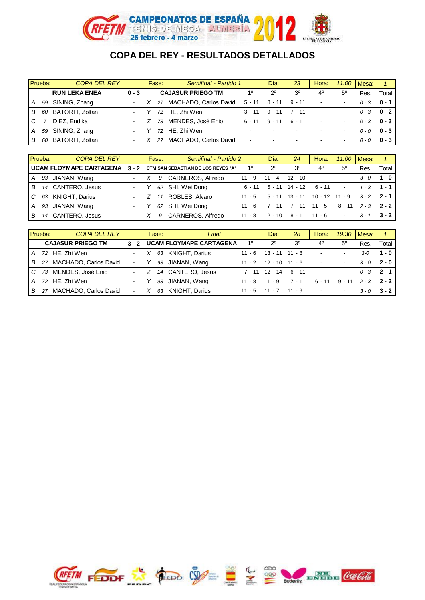

|     | Prueba: | <b>COPA DEL REY</b>    |                          | Fase: | Semifinal - Partido 1       |          | Día:                     | 23                       | Hora:                    | 11:00                    | Mesa:   |           |
|-----|---------|------------------------|--------------------------|-------|-----------------------------|----------|--------------------------|--------------------------|--------------------------|--------------------------|---------|-----------|
|     |         | <b>IRUN LEKA ENEA</b>  | $0 - 3$                  |       | <b>CAJASUR PRIEGO TM</b>    | 10       | $2^{\circ}$              | 3 <sup>o</sup>           | 40                       | $5^{\circ}$              | Res.    | Total     |
| l A | 59      | SINING, Zhang          | $\overline{\phantom{0}}$ |       | 27 MACHADO, Carlos David    | $5 - 11$ | $8 - 11$                 | $9 - 11$                 | $\overline{\phantom{a}}$ | $\overline{\phantom{0}}$ | $0 - 3$ | $0 - 1$   |
| l B | 60      | BATORFI, Zoltan        | ۰.                       |       | 72 HE, Zhi Wen              | $3 - 11$ | $9 - 11$                 | $7 - 11$                 | $\overline{\phantom{a}}$ | $\,$                     | $0 - 3$ | $0 - 2$ 1 |
| I C |         | DIEZ, Endika           | $\blacksquare$           |       | MENDES, José Enio<br>73     | $6 - 11$ | $9 - 11$                 | $6 - 11$                 | $\,$                     | $\,$                     | $0 - 3$ | $0 - 3$ 1 |
| l A | 59      | SINING, Zhang          | $\blacksquare$           |       | 72 HE. Zhi Wen              |          | $\overline{\phantom{a}}$ | $\overline{\phantom{a}}$ | $\overline{\phantom{0}}$ | $\overline{\phantom{0}}$ | $0 - 0$ | $0 - 3$ 1 |
| l B | 60      | <b>BATORFI, Zoltan</b> | $\blacksquare$           |       | MACHADO, Carlos David<br>27 | $\,$     |                          | $\overline{\phantom{0}}$ | $\overline{\phantom{a}}$ | $\,$                     | $0 - 0$ | $0 - 3$   |

| Prueba: |    | <b>COPA DEL REY</b>            |                | Fase: | Semifinal - Partido 2                    |          | Día:        | 24             | Hora:                    | 11:00                    | Mesa:   |         |
|---------|----|--------------------------------|----------------|-------|------------------------------------------|----------|-------------|----------------|--------------------------|--------------------------|---------|---------|
|         |    | <b>UCAM FLOYMAPE CARTAGENA</b> |                |       | 3 - 2 CTM SAN SEBASTIÁN DE LOS REYES "A" | 10       | $2^{\circ}$ | 3 <sup>o</sup> | 40                       | $5^{\circ}$              | Res.    | Total   |
| А       | 93 | JIANAN, Wang                   | $\blacksquare$ | 9     | CARNEROS, Alfredo                        | $11 - 9$ | $11 - 4$    | $12 - 10$      | $\overline{\phantom{a}}$ | $\overline{\phantom{0}}$ | $3 - 0$ | $1 - 0$ |
| B.      | 14 | CANTERO, Jesus                 | $\blacksquare$ | 62    | SHI, Wei Dong                            | $6 - 11$ | $5 - 11$    | $14 - 12$      | $6 - 11$                 | $\overline{\phantom{a}}$ | 1 - 3   | $1 - 1$ |
| C       | 63 | <b>KNIGHT, Darius</b>          | $\sim$         |       | ROBLES, Alvaro                           | $11 - 5$ | $5 - 11$    | $13 - 11$      | $10 - 12$                | $11 - 9$                 | $3 - 2$ | $2 - 1$ |
| A       | 93 | JIANAN, Wang                   | ٠.             | 62    | SHI, Wei Dong                            | $11 - 6$ | $7 - 11$    | $-11$          | $11 - 5$                 | 8 - 11                   | $2 - 3$ | $2 - 2$ |
| В       | 14 | CANTERO, Jesus                 | $\blacksquare$ | 9     | CARNEROS, Alfredo                        | $11 - 8$ | $12 - 10$   | $8 - 11$       | $11 - 6$                 | $\overline{\phantom{a}}$ | $3 - 1$ | $3 - 2$ |

|                | Prueba: | <b>COPA DEL REY</b>      |                | Fase: | Final                         |          | Día:        | 28             | Hora:                    | 19:30                    | Mesa:   |         |
|----------------|---------|--------------------------|----------------|-------|-------------------------------|----------|-------------|----------------|--------------------------|--------------------------|---------|---------|
|                |         | <b>CAJASUR PRIEGO TM</b> |                |       | 3 - 2 UCAM FLOYMAPE CARTAGENA | 10       | $2^{\circ}$ | 3 <sup>0</sup> | 40                       | $5^{\circ}$              | Res.    | Total   |
| $\overline{A}$ |         | 72 HE. Zhi Wen           | $\blacksquare$ |       | 63 KNIGHT, Darius             | $11 - 6$ | 13 - 11     | $11 - 8$       | $\overline{\phantom{a}}$ | $\overline{\phantom{0}}$ | $3 - 0$ | $1 - 0$ |
| B              | 27      | MACHADO, Carlos David    |                | 93    | JIANAN, Wang                  | $11 - 2$ | $12 - 10$   | $11 - 6$       | $\overline{\phantom{a}}$ |                          | $3 - 0$ | $2 - 0$ |
| $\overline{C}$ | 73      | MENDES, José Enio        | $\blacksquare$ |       | 14 CANTERO, Jesus             | 7 - 11   | $12 - 14$   | 6 - 11         | $\overline{\phantom{a}}$ | $\overline{\phantom{0}}$ | $0 - 3$ | $2 - 1$ |
| $\overline{A}$ |         | 72 HE, Zhi Wen           |                | 93    | JIANAN, Wang                  | $11 - 8$ | $11 - 9$    | $7 - 11$       | $6 - 11$                 | $9 - 11$                 | $2 - 3$ | $2 - 2$ |
| $\overline{B}$ | 27      | MACHADO, Carlos David    | $\blacksquare$ | 63    | <b>KNIGHT, Darius</b>         | $11 - 5$ | $11 - 7$    | $11 - 9$       | $\overline{\phantom{a}}$ | $\overline{\phantom{0}}$ | $3 - 0$ | $3 - 2$ |

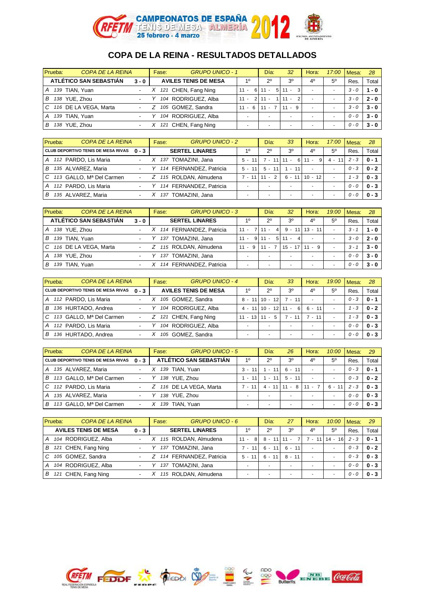

| Prueba: | <b>COPA DE LA REINA</b> |                          | Fase: | <b>GRUPO UNICO - 1</b>      |                          | Día:                     | 32                              | Hora:                    | 17:00       | Mesa:   | 28      |
|---------|-------------------------|--------------------------|-------|-----------------------------|--------------------------|--------------------------|---------------------------------|--------------------------|-------------|---------|---------|
|         | ATLÉTICO SAN SEBASTIÁN  | $3 - 0$                  |       | <b>AVILES TENIS DE MESA</b> | 10                       | $2^{\circ}$              | 3 <sup>0</sup>                  | 40                       | $5^{\circ}$ | Res.    | Total   |
| A       | 139 TIAN. Yuan          | $\overline{\phantom{0}}$ |       | X 121 CHEN, Fang Ning       | -61<br>$11 -$            | 5 <sup>1</sup><br>$11 -$ | $\lvert$ <sub>3</sub><br>$11 -$ | $\sim$                   |             | $3 - 0$ | $1 - 0$ |
| в       | 138 YUE, Zhou           | $\overline{\phantom{a}}$ |       | 104 RODRIGUEZ, Alba         | $11 -$                   | $2 \mid 11 -$            | $\overline{2}$<br>$11 -$        | $\overline{\phantom{a}}$ |             | $3 - 0$ | $2 - 0$ |
| C.      | 116 DE LA VEGA, Marta   | $\blacksquare$           |       | 105 GOMEZ, Sandra           | $11 - 6$                 | $11 -$                   | $11 - 9$                        | $\sim$                   |             | $3 - 0$ | $3 - 0$ |
| A       | 139 TIAN, Yuan          | $\overline{\phantom{0}}$ |       | 104 RODRIGUEZ, Alba         | $\overline{\phantom{a}}$ |                          |                                 | $\sim$                   |             | $0 - 0$ | $3 - 0$ |
| в       | 138 YUE. Zhou           | $\overline{\phantom{a}}$ |       | 121 CHEN, Fang Ning         | $\overline{\phantom{a}}$ |                          |                                 | $\sim$                   |             | $0 - 0$ | $3 - 0$ |

| Prueba: | <b>COPA DE LA REINA</b>                   |                          | Fase: | <b>GRUPO UNICO - 2</b>    |                | Día:          | 33             | Hora:            | 17:00       | Mesa:   | 28      |
|---------|-------------------------------------------|--------------------------|-------|---------------------------|----------------|---------------|----------------|------------------|-------------|---------|---------|
|         | <b>CLUB DEPORTIVO TENIS DE MESA RIVAS</b> | $0 - 3$                  |       | <b>SERTEL LINARES</b>     | 10             | $2^{\circ}$   | 3 <sup>0</sup> | 4 <sup>0</sup>   | $5^{\circ}$ | Res.    | Total   |
| A       | 112 PARDO, Lis Maria                      | $\overline{\phantom{a}}$ |       | 137 TOMAZINI, Jana        | $5 - 11$       | $7 - 11$ 11 - | $6 \mid$       | -91<br>$11 -$    | $4 - 11$    | $2 - 3$ | $0 - 1$ |
| В       | 135 ALVAREZ, Maria                        | $\overline{\phantom{a}}$ |       | Y 114 FERNANDEZ, Patricia | $5 - 11$       | $5 - 11$      | 11<br>1 -      | $\sim$           |             | $0 - 3$ | $0 - 2$ |
| C.      | 113 GALLO, Mª Del Carmen                  | ۰.                       |       | Z 115 ROLDAN, Almudena    | $7 - 11$       | 2<br>$11 -$   |                | 6 - 11   10 - 12 |             | - 3     | $0 - 3$ |
| A       | 112 PARDO, Lis Maria                      | $\overline{\phantom{a}}$ |       | 114 FERNANDEZ, Patricia   |                |               |                |                  |             | $0 - 0$ | $0 - 3$ |
| в       | 135 ALVAREZ, Maria                        | ٠                        | 137   | TOMAZINI, Jana            | $\overline{a}$ |               |                | $\sim$           |             | $0 - 0$ | $0 - 3$ |

| Prueba:  | <b>COPA DE LA REINA</b> |                          | Fase: | <b>GRUPO UNICO - 3</b>    |                          | Día:                            | 32             | Hora:                    | 19:00                    | Mesa:   | 28      |
|----------|-------------------------|--------------------------|-------|---------------------------|--------------------------|---------------------------------|----------------|--------------------------|--------------------------|---------|---------|
|          | ATLÉTICO SAN SEBASTIÁN  | $3 - 0$                  |       | <b>SERTEL LINARES</b>     | 10                       | 20                              | 3 <sup>o</sup> | 40                       | $5^{\circ}$              | Res.    | Total   |
| A        | 138 YUE, Zhou           | $\overline{\phantom{0}}$ |       | X 114 FERNANDEZ, Patricia | $11 -$                   | $\overline{4}$<br>11 -          | 11<br>$9 -$    | $13 - 11$                | $\overline{\phantom{a}}$ | $3 - 1$ | $1 - 0$ |
| в<br>139 | TIAN, Yuan              |                          |       | 137 TOMAZINI, Jana        | $11 -$                   | $9 \mid 11 -$<br>5 <sup>1</sup> | 4<br>$11 -$    | ۰                        | $\overline{\phantom{a}}$ | $3 - 0$ | $2 - 0$ |
| C.       | 116 DE LA VEGA, Marta   | $\overline{\phantom{a}}$ |       | Z 115 ROLDAN, Almudena    | 9<br>$11 -$              | $11 -$                          | $15 - 17$      | $11 - 9$                 | ۰                        | $3 - 1$ | $3 - 0$ |
| А        | 138 YUE. Zhou           | $\overline{\phantom{a}}$ |       | 137 TOMAZINI, Jana        |                          |                                 |                | $\overline{\phantom{a}}$ |                          | $0 - 0$ | $3 - 0$ |
| 139      | TIAN, Yuan              |                          |       | 114 FERNANDEZ, Patricia   | $\overline{\phantom{a}}$ |                                 |                | ٠                        | $\overline{\phantom{a}}$ | $0 - 0$ | $3 - 0$ |

| Prueba: | <b>COPA DE LA REINA</b>            |                          | Fase: | <b>GRUPO UNICO - 4</b>      |                          | Día:                        | 33                       | Hora:                    | 19:00                    | <b>IMesa:</b> | 28      |
|---------|------------------------------------|--------------------------|-------|-----------------------------|--------------------------|-----------------------------|--------------------------|--------------------------|--------------------------|---------------|---------|
|         | CLUB DEPORTIVO TENIS DE MESA RIVAS | $0 - 3$                  |       | <b>AVILES TENIS DE MESA</b> | 10                       | $2^{\circ}$                 | 3 <sup>0</sup>           | 40                       | $5^{\circ}$              | Res.          | Total   |
| A       | 112 PARDO, Lis Maria               | $\overline{\phantom{a}}$ |       | 105 GOMEZ, Sandra           |                          | 8 - 11 10 - 12              | $7 - 11$                 | $\overline{\phantom{a}}$ |                          | $0 - 3$       | $0 - 1$ |
| В       | 136 HURTADO, Andrea                | ۰                        |       | 104 RODRIGUEZ, Alba         |                          | $4 - 11$ 10 $- 12$ 11 $- 1$ | 6                        | $6 - 11$                 |                          | $-3$          | $0 - 2$ |
| C       | 113 GALLO, Mª Del Carmen           | $\overline{\phantom{a}}$ |       | Z 121 CHEN, Fang Ning       | $11 - 13$                | 5<br>$11 -$                 | $7 - 11$                 | $7 - 11$                 |                          | - 3           | $0 - 3$ |
| A       | 112 PARDO. Lis Maria               | ۰                        |       | 104 RODRIGUEZ, Alba         | $\overline{\phantom{a}}$ |                             | $\overline{\phantom{a}}$ | $\overline{\phantom{a}}$ |                          | $0 - 0$       | $0 - 3$ |
| в       | 136 HURTADO, Andrea                | $\overline{\phantom{0}}$ |       | 105 GOMEZ, Sandra           |                          |                             | $\overline{\phantom{a}}$ |                          | $\overline{\phantom{a}}$ | $0 - 0$       | $0 - 3$ |

| Prueba: | <b>COPA DE LA REINA</b>                   |                | Fase: | <b>GRUPO UNICO - 5</b>  |                          | Día:         | 26                       | Hora:                    | 10:00       | Mesa:   | 29      |
|---------|-------------------------------------------|----------------|-------|-------------------------|--------------------------|--------------|--------------------------|--------------------------|-------------|---------|---------|
|         | <b>CLUB DEPORTIVO TENIS DE MESA RIVAS</b> | $0 - 3$        |       | ATLÉTICO SAN SEBASTIÁN  | 10                       | $2^{\circ}$  | 3 <sup>o</sup>           | 40                       | $5^{\circ}$ | Res.    | Total   |
| A       | 135 ALVAREZ, Maria                        | $\blacksquare$ |       | 139 TIAN, Yuan          | $3 - 11$                 | 111<br>$1 -$ | $6 - 11$                 | ٠                        |             | 0 - 3   | $0 - 1$ |
| В       | 113 GALLO, Mª Del Carmen                  | ٠              |       | 138 YUE, Zhou           | $1 - 11$                 | $1 - 11$     | $5 - 11$                 | $\overline{\phantom{a}}$ |             | 0 - 3   | $0 - 2$ |
|         | 112 PARDO, Lis Maria                      |                |       | Z 116 DE LA VEGA, Marta | $7 - 11$                 | $4 - 11$     | 8<br>$\sim$              | 11<br>$\sim$             | $6 - 11$    | $2 - 3$ | $0 - 3$ |
| A       | 135 ALVAREZ, Maria                        |                |       | 138 YUE, Zhou           | $\overline{\phantom{a}}$ |              | $\overline{\phantom{a}}$ | $\overline{\phantom{a}}$ |             | 0 - 0   | $0 - 3$ |
| B.      | 113 GALLO, Mª Del Carmen                  | ۰              | 139   | TIAN. Yuan              |                          |              |                          | $\overline{\phantom{a}}$ |             | $0 - 0$ | $0 - 3$ |

| Prueba: | <b>COPA DE LA REINA</b>     |                          | Fase: | <b>GRUPO UNICO - 6</b>    |                          | Día:                     | 27                       | Hora:                    | 10:00        | <b>IMesa:</b> | 29      |
|---------|-----------------------------|--------------------------|-------|---------------------------|--------------------------|--------------------------|--------------------------|--------------------------|--------------|---------------|---------|
|         | <b>AVILES TENIS DE MESA</b> | $0 - 3$                  |       | <b>SERTEL LINARES</b>     | 10                       | $2^{\circ}$              | 3 <sup>0</sup>           | 40                       | $5^{\circ}$  | Res.          | Total   |
| A       | 104 RODRIGUEZ, Alba         | $\blacksquare$           |       | X 115 ROLDAN, Almudena    | 81<br>$11 -$             | $8 -$<br>11 <sup>1</sup> | $\overline{7}$<br>$11 -$ | 11<br>$7 - 7$            | 16<br>$14 -$ | $2 - 3$       | $0 - 1$ |
| B.      | 121 CHEN, Fang Ning         | $\overline{\phantom{a}}$ | 137   | TOMAZINI, Jana            | $7 -$<br>11              | 6 -<br>11                | 11<br>6 -                | $\sim$                   | . .          | 0 - 3         | $0 - 2$ |
|         | 105 GOMEZ, Sandra           | $\overline{\phantom{0}}$ |       | Z 114 FERNANDEZ, Patricia | $5 -$<br>11              | $6 -$<br>11              | $8 - 11$                 | $\sim$                   | . .          | 0 - 3         | $0 - 3$ |
| A       | 104 RODRIGUEZ, Alba         | $\blacksquare$           | 137   | TOMAZINI, Jana            | $\overline{\phantom{a}}$ |                          | $\overline{\phantom{a}}$ | $\sim$                   |              | $0 - 0$       | $0 - 3$ |
| В       | 121 CHEN, Fang Ning         | $\overline{\phantom{0}}$ |       | X 115 ROLDAN, Almudena    | $\overline{\phantom{a}}$ |                          | $\overline{\phantom{a}}$ | $\overline{\phantom{a}}$ |              | $0 - 0$       | $0 - 3$ |